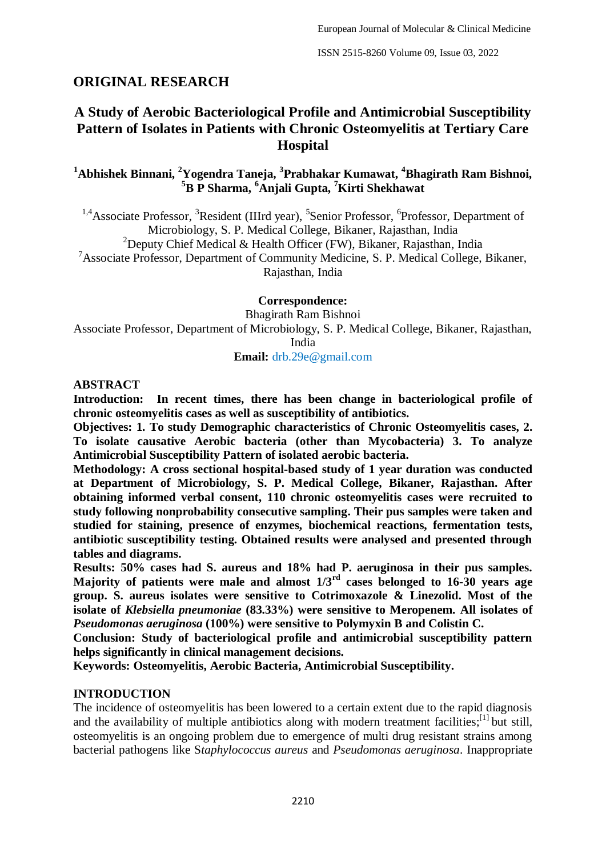# **ORIGINAL RESEARCH**

# **A Study of Aerobic Bacteriological Profile and Antimicrobial Susceptibility Pattern of Isolates in Patients with Chronic Osteomyelitis at Tertiary Care Hospital**

**<sup>1</sup>Abhishek Binnani, <sup>2</sup>Yogendra Taneja, <sup>3</sup> Prabhakar Kumawat, <sup>4</sup>Bhagirath Ram Bishnoi, <sup>5</sup>B P Sharma, <sup>6</sup>Anjali Gupta, <sup>7</sup>Kirti Shekhawat**

<sup>1,4</sup> Associate Professor, <sup>3</sup> Resident (IIIrd year), <sup>5</sup> Senior Professor, <sup>6</sup> Professor, Department of Microbiology, S. P. Medical College, Bikaner, Rajasthan, India <sup>2</sup>Deputy Chief Medical & Health Officer (FW), Bikaner, Rajasthan, India <sup>7</sup>Associate Professor, Department of Community Medicine, S. P. Medical College, Bikaner,

Rajasthan, India

#### **Correspondence:**

Bhagirath Ram Bishnoi

Associate Professor, Department of Microbiology, S. P. Medical College, Bikaner, Rajasthan, India

**Email:** drb.29e@gmail.com

#### **ABSTRACT**

**Introduction: In recent times, there has been change in bacteriological profile of chronic osteomyelitis cases as well as susceptibility of antibiotics.** 

**Objectives: 1. To study Demographic characteristics of Chronic Osteomyelitis cases, 2. To isolate causative Aerobic bacteria (other than Mycobacteria) 3. To analyze Antimicrobial Susceptibility Pattern of isolated aerobic bacteria.** 

**Methodology: A cross sectional hospital-based study of 1 year duration was conducted at Department of Microbiology, S. P. Medical College, Bikaner, Rajasthan. After obtaining informed verbal consent, 110 chronic osteomyelitis cases were recruited to study following nonprobability consecutive sampling. Their pus samples were taken and studied for staining, presence of enzymes, biochemical reactions, fermentation tests, antibiotic susceptibility testing. Obtained results were analysed and presented through tables and diagrams.** 

**Results: 50% cases had S. aureus and 18% had P. aeruginosa in their pus samples. Majority of patients were male and almost 1/3rd cases belonged to 16-30 years age group. S. aureus isolates were sensitive to Cotrimoxazole & Linezolid. Most of the isolate of** *Klebsiella pneumoniae* **(83.33%) were sensitive to Meropenem. All isolates of**  *Pseudomonas aeruginosa* **(100%) were sensitive to Polymyxin B and Colistin C.**

**Conclusion: Study of bacteriological profile and antimicrobial susceptibility pattern helps significantly in clinical management decisions.**

**Keywords: Osteomyelitis, Aerobic Bacteria, Antimicrobial Susceptibility.**

### **INTRODUCTION**

The incidence of osteomyelitis has been lowered to a certain extent due to the rapid diagnosis and the availability of multiple antibiotics along with modern treatment facilities;<sup>[1]</sup> but still, osteomyelitis is an ongoing problem due to emergence of multi drug resistant strains among bacterial pathogens like S*taphylococcus aureus* and *Pseudomonas aeruginosa*. Inappropriate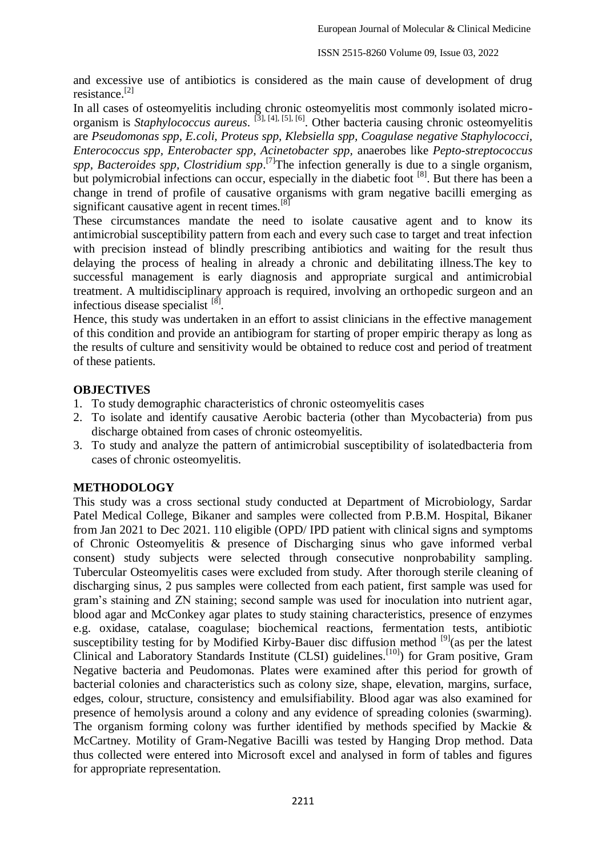and excessive use of antibiotics is considered as the main cause of development of drug resistance.[2]

In all cases of osteomyelitis including chronic osteomyelitis most commonly isolated microorganism is *Staphylococcus aureus*. [3], [4], [5], [6]. Other bacteria causing chronic osteomyelitis are *Pseudomonas spp, E.coli, Proteus spp, Klebsiella spp, Coagulase negative Staphylococci, Enterococcus spp, Enterobacter spp, Acinetobacter spp,* anaerobes like *Pepto-streptococcus*  spp, Bacteroides spp, Clostridium spp.<sup>[7]</sup>The infection generally is due to a single organism, but polymicrobial infections can occur, especially in the diabetic foot [8]. But there has been a change in trend of profile of causative organisms with gram negative bacilli emerging as significant causative agent in recent times. $[8]$ 

These circumstances mandate the need to isolate causative agent and to know its antimicrobial susceptibility pattern from each and every such case to target and treat infection with precision instead of blindly prescribing antibiotics and waiting for the result thus delaying the process of healing in already a chronic and debilitating illness.The key to successful management is early diagnosis and appropriate surgical and antimicrobial treatment. A multidisciplinary approach is required, involving an orthopedic surgeon and an infectious disease specialist [8].

Hence, this study was undertaken in an effort to assist clinicians in the effective management of this condition and provide an antibiogram for starting of proper empiric therapy as long as the results of culture and sensitivity would be obtained to reduce cost and period of treatment of these patients.

# **OBJECTIVES**

- 1. To study demographic characteristics of chronic osteomyelitis cases
- 2. To isolate and identify causative Aerobic bacteria (other than Mycobacteria) from pus discharge obtained from cases of chronic osteomyelitis.
- 3. To study and analyze the pattern of antimicrobial susceptibility of isolatedbacteria from cases of chronic osteomyelitis.

# **METHODOLOGY**

This study was a cross sectional study conducted at Department of Microbiology, Sardar Patel Medical College, Bikaner and samples were collected from P.B.M. Hospital, Bikaner from Jan 2021 to Dec 2021. 110 eligible (OPD/ IPD patient with clinical signs and symptoms of Chronic Osteomyelitis & presence of Discharging sinus who gave informed verbal consent) study subjects were selected through consecutive nonprobability sampling. Tubercular Osteomyelitis cases were excluded from study. After thorough sterile cleaning of discharging sinus, 2 pus samples were collected from each patient, first sample was used for gram's staining and ZN staining; second sample was used for inoculation into nutrient agar, blood agar and McConkey agar plates to study staining characteristics, presence of enzymes e.g. oxidase, catalase, coagulase; biochemical reactions, fermentation tests, antibiotic susceptibility testing for by Modified Kirby-Bauer disc diffusion method <sup>[9]</sup> (as per the latest Clinical and Laboratory Standards Institute (CLSI) guidelines.<sup>[10]</sup>) for Gram positive, Gram Negative bacteria and Peudomonas. Plates were examined after this period for growth of bacterial colonies and characteristics such as colony size, shape, elevation, margins, surface, edges, colour, structure, consistency and emulsifiability. Blood agar was also examined for presence of hemolysis around a colony and any evidence of spreading colonies (swarming). The organism forming colony was further identified by methods specified by Mackie & McCartney. Motility of Gram-Negative Bacilli was tested by Hanging Drop method. Data thus collected were entered into Microsoft excel and analysed in form of tables and figures for appropriate representation.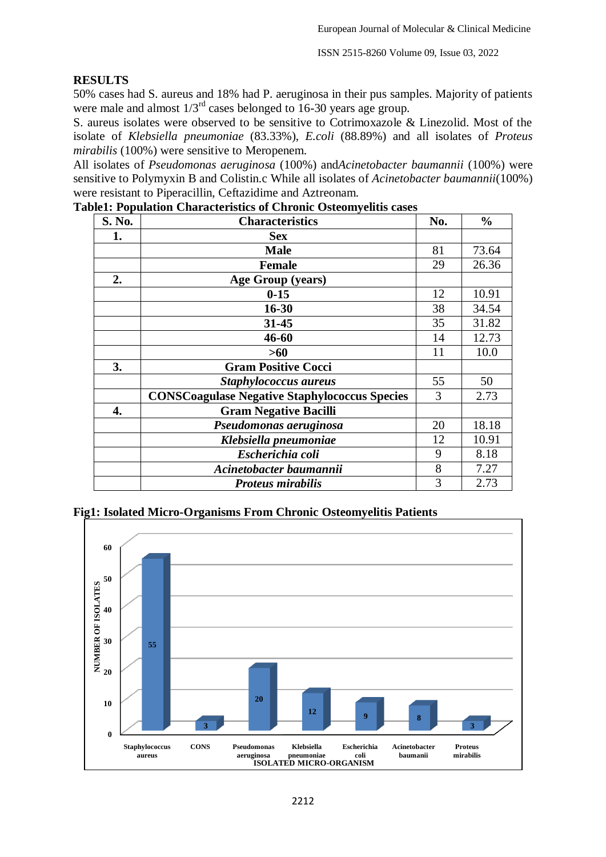### **RESULTS**

50% cases had S. aureus and 18% had P. aeruginosa in their pus samples. Majority of patients were male and almost  $1/3^{rd}$  cases belonged to 16-30 years age group.

S. aureus isolates were observed to be sensitive to Cotrimoxazole & Linezolid. Most of the isolate of *Klebsiella pneumoniae* (83.33%), *E.coli* (88.89%) and all isolates of *Proteus mirabilis* (100%) were sensitive to Meropenem.

All isolates of *Pseudomonas aeruginosa* (100%) and*Acinetobacter baumannii* (100%) were sensitive to Polymyxin B and Colistin.c While all isolates of *Acinetobacter baumannii*(100%) were resistant to Piperacillin, Ceftazidime and Aztreonam.

| S. No. | <b>Characteristics</b>                               | No. | $\frac{0}{0}$ |
|--------|------------------------------------------------------|-----|---------------|
| 1.     | <b>Sex</b>                                           |     |               |
|        | <b>Male</b>                                          | 81  | 73.64         |
|        | <b>Female</b>                                        | 29  | 26.36         |
| 2.     | <b>Age Group (years)</b>                             |     |               |
|        | $0 - 15$                                             | 12  | 10.91         |
|        | $16 - 30$                                            | 38  | 34.54         |
|        | $31 - 45$                                            | 35  | 31.82         |
|        | 46-60                                                | 14  | 12.73         |
|        | >60                                                  | 11  | 10.0          |
| 3.     | <b>Gram Positive Cocci</b>                           |     |               |
|        | Staphylococcus aureus                                | 55  | 50            |
|        | <b>CONSCoagulase Negative Staphylococcus Species</b> | 3   | 2.73          |
| 4.     | <b>Gram Negative Bacilli</b>                         |     |               |
|        | Pseudomonas aeruginosa                               | 20  | 18.18         |
|        | Klebsiella pneumoniae                                | 12  | 10.91         |
|        | Escherichia coli                                     | 9   | 8.18          |
|        | Acinetobacter baumannii                              | 8   | 7.27          |
|        | <b>Proteus mirabilis</b>                             | 3   | 2.73          |

**Table1: Population Characteristics of Chronic Osteomyelitis cases**



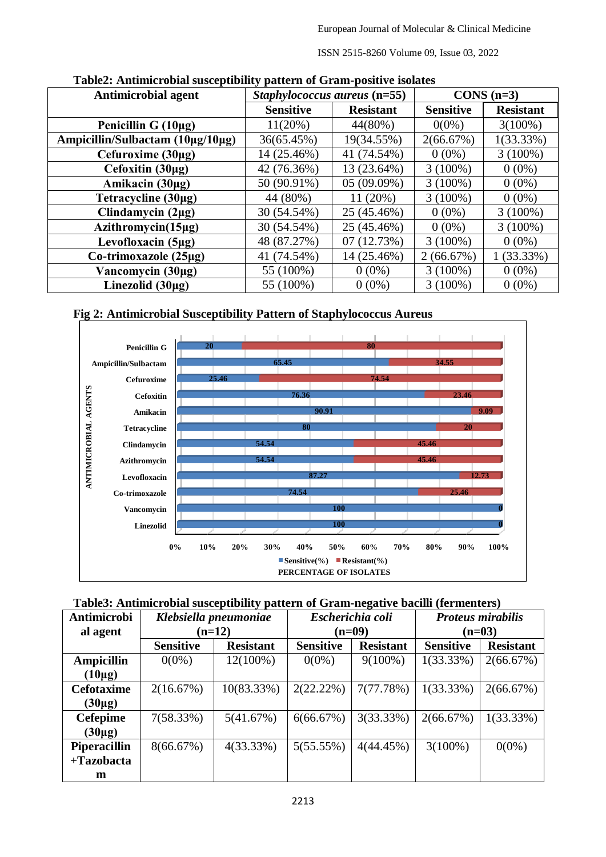ISSN 2515-8260 Volume 09, Issue 03, 2022

| radical infinitional dadceptionity pattern of Grant positive homets<br><b>Antimicrobial agent</b> | Staphylococcus aureus (n=55) | $CONS(n=3)$      |                  |                  |
|---------------------------------------------------------------------------------------------------|------------------------------|------------------|------------------|------------------|
|                                                                                                   | <b>Sensitive</b>             | <b>Resistant</b> | <b>Sensitive</b> | <b>Resistant</b> |
| Penicillin G $(10\mu g)$                                                                          | $11(20\%)$                   | $44(80\%)$       | $0(0\%)$         | $3(100\%)$       |
| Ampicillin/Sulbactam (10μg/10μg)                                                                  | 36(65.45%)                   | 19(34.55%)       | 2(66.67%)        | 1(33.33%)        |
| Cefuroxime $(30\mu g)$                                                                            | 14 (25.46%)                  | 41 (74.54%)      | $0(0\%)$         | $3(100\%)$       |
| Cefoxitin $(30\mu g)$                                                                             | 42 (76.36%)                  | 13 (23.64%)      | $3(100\%)$       | $0(0\%)$         |
| Amikacin (30µg)                                                                                   | 50 (90.91%)                  | 05(09.09%)       | $3(100\%)$       | $0(0\%)$         |
| Tetracycline (30µg)                                                                               | 44 (80%)                     | 11(20%)          | $3(100\%)$       | $0(0\%)$         |
| Clindamycin $(2\mu g)$                                                                            | 30 (54.54%)                  | 25 (45.46%)      | $0(0\%)$         | $3(100\%)$       |
| Azithromycin(15µg)                                                                                | 30 (54.54%)                  | 25 (45.46%)      | $0(0\%)$         | $3(100\%)$       |
| Levofloxacin (5µg)                                                                                | 48 (87.27%)                  | 07(12.73%)       | $3(100\%)$       | $0(0\%)$         |
| Co-trimoxazole (25µg)                                                                             | 41 (74.54%)                  | 14 (25.46%)      | 2(66.67%)        | 1(33.33%)        |
| Vancomycin $(30\mu g)$                                                                            | 55 (100%)                    | $0(0\%)$         | $3(100\%)$       | $0(0\%)$         |
| Linezolid $(30\mu g)$                                                                             | 55 (100%)                    | $0(0\%)$         | $3(100\%)$       | $0(0\%)$         |

### **Table2: Antimicrobial susceptibility pattern of Gram-positive isolates**





| Table3: Antimicrobial susceptibility pattern of Gram-negative bacilli (fermenters) |  |  |  |
|------------------------------------------------------------------------------------|--|--|--|
|                                                                                    |  |  |  |

| Antimicrobi         | Klebsiella pneumoniae |                  |                                      | Escherichia coli | <b>Proteus mirabilis</b> |                  |  |
|---------------------|-----------------------|------------------|--------------------------------------|------------------|--------------------------|------------------|--|
| al agent            | $(n=12)$              |                  |                                      | $(n=09)$         | $(n=03)$                 |                  |  |
|                     | <b>Sensitive</b>      | <b>Resistant</b> | <b>Sensitive</b><br><b>Resistant</b> |                  | <b>Sensitive</b>         | <b>Resistant</b> |  |
| <b>Ampicillin</b>   | $0(0\%)$              | $12(100\%)$      | $0(0\%)$                             | $9(100\%)$       | 1(33.33%)                | 2(66.67%)        |  |
| $(10\mu g)$         |                       |                  |                                      |                  |                          |                  |  |
| <b>Cefotaxime</b>   | 2(16.67%)             | 10(83.33%)       | 2(22.22%)                            | 7(77.78%)        | $1(33.33\%)$             | 2(66.67%)        |  |
| $(30\mu g)$         |                       |                  |                                      |                  |                          |                  |  |
| <b>Cefepime</b>     | 7(58.33%)             | 5(41.67%)        | 6(66.67%)                            | 3(33.33%)        | 2(66.67%)                | $1(33.33\%)$     |  |
| $(30\mu g)$         |                       |                  |                                      |                  |                          |                  |  |
| <b>Piperacillin</b> | 8(66.67%)             | 4(33.33%)        | 5(55.55%)                            | 4(44.45%)        | $3(100\%)$               | $0(0\%)$         |  |
| $+Tazobacta$        |                       |                  |                                      |                  |                          |                  |  |
| m                   |                       |                  |                                      |                  |                          |                  |  |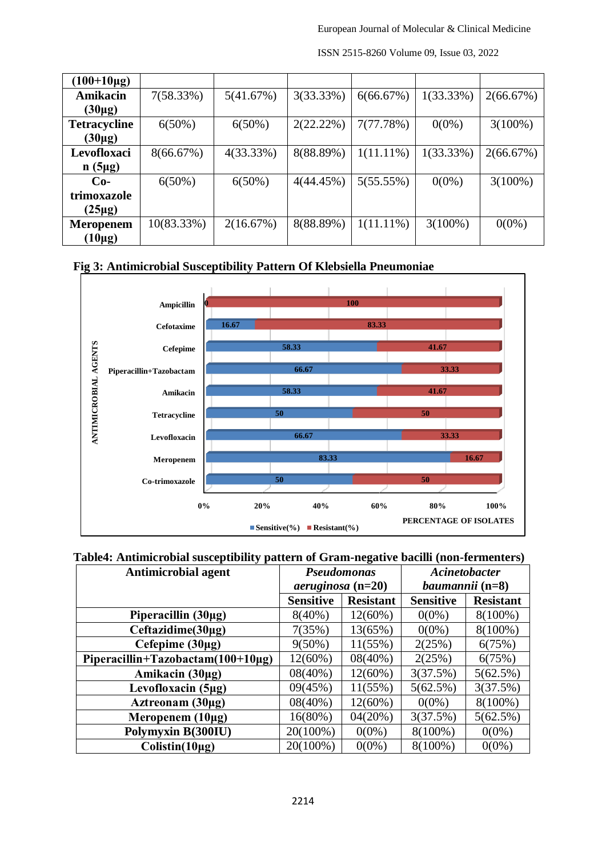| $(100+10\mu g)$     |            |           |           |              |              |            |
|---------------------|------------|-----------|-----------|--------------|--------------|------------|
| Amikacin            | 7(58.33%)  | 5(41.67%) | 3(33.33%) | 6(66.67%)    | $1(33.33\%)$ | 2(66.67%)  |
| $(30\mu g)$         |            |           |           |              |              |            |
| <b>Tetracycline</b> | $6(50\%)$  | $6(50\%)$ | 2(22.22%) | 7(77.78%)    | $0(0\%)$     | $3(100\%)$ |
| $(30\mu g)$         |            |           |           |              |              |            |
| Levofloxaci         | 8(66.67%)  | 4(33.33%) | 8(88.89%) | $1(11.11\%)$ | 1(33.33%)    | 2(66.67%)  |
| $n(5\mu g)$         |            |           |           |              |              |            |
| $Co-$               | $6(50\%)$  | $6(50\%)$ | 4(44.45%) | 5(55.55%)    | $0(0\%)$     | $3(100\%)$ |
| trimoxazole         |            |           |           |              |              |            |
| $(25\mu g)$         |            |           |           |              |              |            |
| <b>Meropenem</b>    | 10(83.33%) | 2(16.67%) | 8(88.89%) | $1(11.11\%)$ | $3(100\%)$   | $0(0\%)$   |
| $(10\mu g)$         |            |           |           |              |              |            |

ISSN 2515-8260 Volume 09, Issue 03, 2022

# **Fig 3: Antimicrobial Susceptibility Pattern Of Klebsiella Pneumoniae**



### **Table4: Antimicrobial susceptibility pattern of Gram-negative bacilli (non-fermenters)**

| <b>Antimicrobial agent</b>              | <b>Pseudomonas</b>  |                  | Acinetobacter          |                  |
|-----------------------------------------|---------------------|------------------|------------------------|------------------|
|                                         | $aeruginosa$ (n=20) |                  | <i>baumannii</i> (n=8) |                  |
|                                         | <b>Sensitive</b>    | <b>Resistant</b> | <b>Sensitive</b>       | <b>Resistant</b> |
| Piperacillin (30µg)                     | $8(40\%)$           | $12(60\%)$       | $0(0\%)$               | $8(100\%)$       |
| Ceftazidime(30µg)                       | 7(35%)              | 13(65%)          | $0(0\%)$               | $8(100\%)$       |
| Cefepime $(30\mu g)$                    | $9(50\%)$           | $11(55\%)$       | 2(25%)                 | 6(75%)           |
| Piperacillin+Tazobactam( $100+10\mu$ g) | $12(60\%)$          | $08(40\%)$       | 2(25%)                 | 6(75%)           |
| Amikacin (30µg)                         | $08(40\%)$          | $12(60\%)$       | 3(37.5%)               | 5(62.5%)         |
| Levofloxacin (5µg)                      | 09(45%)             | $11(55\%)$       | 5(62.5%)               | 3(37.5%)         |
| Aztreonam $(30\mu g)$                   | $08(40\%)$          | $12(60\%)$       | $0(0\%)$               | $8(100\%)$       |
| Meropenem $(10\mu g)$                   | $16(80\%)$          | 04(20%)          | 3(37.5%)               | 5(62.5%)         |
| Polymyxin B(300IU)                      | 20(100%)            | $0(0\%)$         | $8(100\%)$             | $0(0\%)$         |
| $Colistin(10\mu g)$                     | 20(100%)            | $0(0\%)$         | $8(100\%)$             | $0(0\%)$         |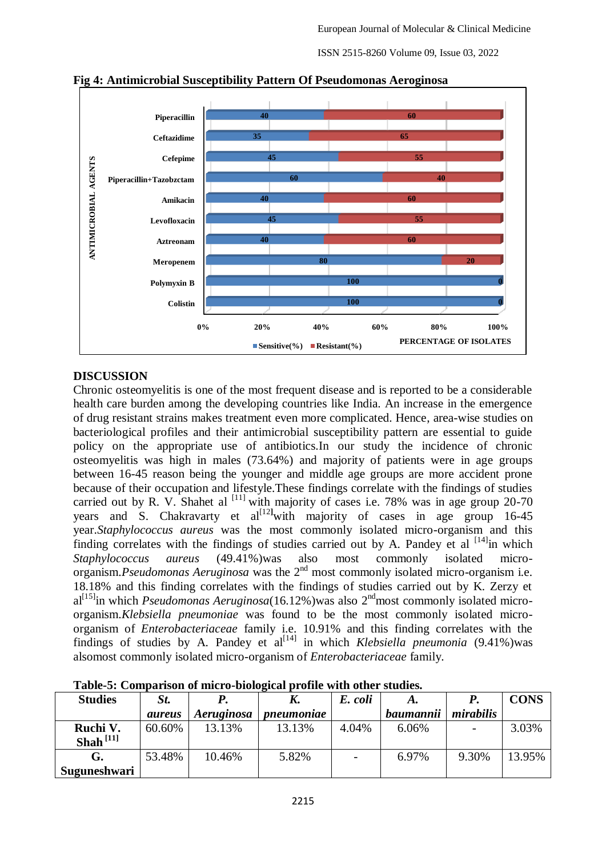ISSN 2515-8260 Volume 09, Issue 03, 2022



**Fig 4: Antimicrobial Susceptibility Pattern Of Pseudomonas Aeroginosa**

# **DISCUSSION**

Chronic osteomyelitis is one of the most frequent disease and is reported to be a considerable health care burden among the developing countries like India. An increase in the emergence of drug resistant strains makes treatment even more complicated. Hence, area-wise studies on bacteriological profiles and their antimicrobial susceptibility pattern are essential to guide policy on the appropriate use of antibiotics.In our study the incidence of chronic osteomyelitis was high in males (73.64%) and majority of patients were in age groups between 16-45 reason being the younger and middle age groups are more accident prone because of their occupation and lifestyle.These findings correlate with the findings of studies carried out by R. V. Shahet al  $^{[11]}$  with majority of cases i.e. 78% was in age group 20-70 years and S. Chakravarty et al<sup>[12]</sup>with majority of cases in age group 16-45 year.*Staphylococcus aureus* was the most commonly isolated micro-organism and this finding correlates with the findings of studies carried out by A. Pandey et al  $[14]$ in which *Staphylococcus aureus* (49.41%)was also most commonly isolated microorganism.*Pseudomonas Aeruginosa* was the 2<sup>nd</sup> most commonly isolated micro-organism i.e. 18.18% and this finding correlates with the findings of studies carried out by K. Zerzy et al<sup>[15]</sup>in which *Pseudomonas Aeruginosa*(16.12%)was also 2<sup>nd</sup>most commonly isolated microorganism.*Klebsiella pneumoniae* was found to be the most commonly isolated microorganism of *Enterobacteriaceae* family i.e. 10.91% and this finding correlates with the findings of studies by A. Pandey et  $a^{[14]}$  in which *Klebsiella pneumonia* (9.41%)was alsomost commonly isolated micro-organism of *Enterobacteriaceae* family.

| <b>Studies</b> | St.           |            | K.         | E. coli                  |           |           | <b>CONS</b> |
|----------------|---------------|------------|------------|--------------------------|-----------|-----------|-------------|
|                | <i>aureus</i> | Aeruginosa | pneumoniae |                          | baumannii | mirabilis |             |
| Ruchi V.       | 60.60%        | 13.13%     | 13.13%     | 4.04%                    | 6.06%     |           | 3.03%       |
| Shah $^{[11]}$ |               |            |            |                          |           |           |             |
| G.             | 53.48%        | 10.46%     | 5.82%      | $\overline{\phantom{a}}$ | 6.97%     | 9.30%     | 13.95%      |
| Suguneshwari   |               |            |            |                          |           |           |             |

**Table-5: Comparison of micro-biological profile with other studies.**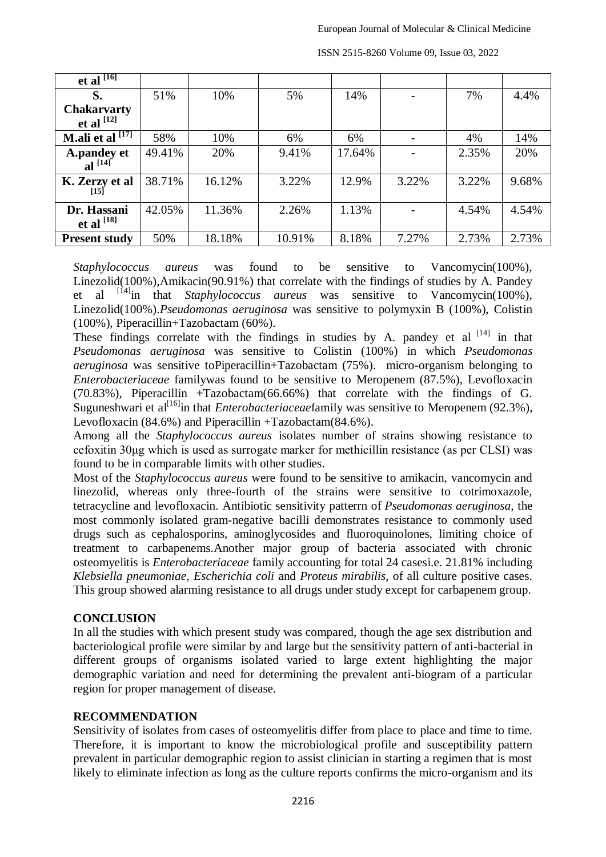| et al $^{[16]}$        |        |        |        |        |       |       |       |
|------------------------|--------|--------|--------|--------|-------|-------|-------|
| S.                     | 51%    | 10%    | 5%     | 14%    |       | 7%    | 4.4%  |
| <b>Chakarvarty</b>     |        |        |        |        |       |       |       |
| et al $^{[12]}$        |        |        |        |        |       |       |       |
| [17]<br>M.ali et al    | 58%    | 10%    | 6%     | 6%     |       | 4%    | 14%   |
| A.pandey et al $[14]$  | 49.41% | 20%    | 9.41%  | 17.64% |       | 2.35% | 20%   |
|                        |        |        |        |        |       |       |       |
| K. Zerzy et al<br>[15] | 38.71% | 16.12% | 3.22%  | 12.9%  | 3.22% | 3.22% | 9.68% |
| Dr. Hassani            | 42.05% | 11.36% | 2.26%  | 1.13%  |       | 4.54% | 4.54% |
| et al $^{[18]}$        |        |        |        |        |       |       |       |
| <b>Present study</b>   | 50%    | 18.18% | 10.91% | 8.18%  | 7.27% | 2.73% | 2.73% |

ISSN 2515-8260 Volume 09, Issue 03, 2022

*Staphylococcus aureus* was found to be sensitive to Vancomycin(100%), Linezolid(100%),Amikacin(90.91%) that correlate with the findings of studies by A. Pandey et al [14]in that *Staphylococcus aureus* was sensitive to Vancomycin(100%), Linezolid(100%).*Pseudomonas aeruginosa* was sensitive to polymyxin B (100%), Colistin (100%), Piperacillin+Tazobactam (60%).

These findings correlate with the findings in studies by A. pandey et al  $[14]$  in that *Pseudomonas aeruginosa* was sensitive to Colistin (100%) in which *Pseudomonas aeruginosa* was sensitive toPiperacillin+Tazobactam (75%). micro-organism belonging to *Enterobacteriaceae* familywas found to be sensitive to Meropenem (87.5%), Levofloxacin (70.83%), Piperacillin +Tazobactam(66.66%) that correlate with the findings of G. Suguneshwari et al<sup>[16]</sup>in that *Enterobacteriaceae*family was sensitive to Meropenem (92.3%), Levofloxacin (84.6%) and Piperacillin +Tazobactam(84.6%).

Among all the *Staphylococcus aureus* isolates number of strains showing resistance to cefoxitin 30μg which is used as surrogate marker for methicillin resistance (as per CLSI) was found to be in comparable limits with other studies.

Most of the *Staphylococcus aureus* were found to be sensitive to amikacin, vancomycin and linezolid, whereas only three-fourth of the strains were sensitive to cotrimoxazole, tetracycline and levofloxacin. Antibiotic sensitivity patterrn of *Pseudomonas aeruginosa,* the most commonly isolated gram-negative bacilli demonstrates resistance to commonly used drugs such as cephalosporins, aminoglycosides and fluoroquinolones, limiting choice of treatment to carbapenems.Another major group of bacteria associated with chronic osteomyelitis is *Enterobacteriaceae* family accounting for total 24 casesi.e. 21.81% including *Klebsiella pneumoniae*, *Escherichia coli* and *Proteus mirabilis*, of all culture positive cases. This group showed alarming resistance to all drugs under study except for carbapenem group.

# **CONCLUSION**

In all the studies with which present study was compared, though the age sex distribution and bacteriological profile were similar by and large but the sensitivity pattern of anti-bacterial in different groups of organisms isolated varied to large extent highlighting the major demographic variation and need for determining the prevalent anti-biogram of a particular region for proper management of disease.

# **RECOMMENDATION**

Sensitivity of isolates from cases of osteomyelitis differ from place to place and time to time. Therefore, it is important to know the microbiological profile and susceptibility pattern prevalent in particular demographic region to assist clinician in starting a regimen that is most likely to eliminate infection as long as the culture reports confirms the micro-organism and its